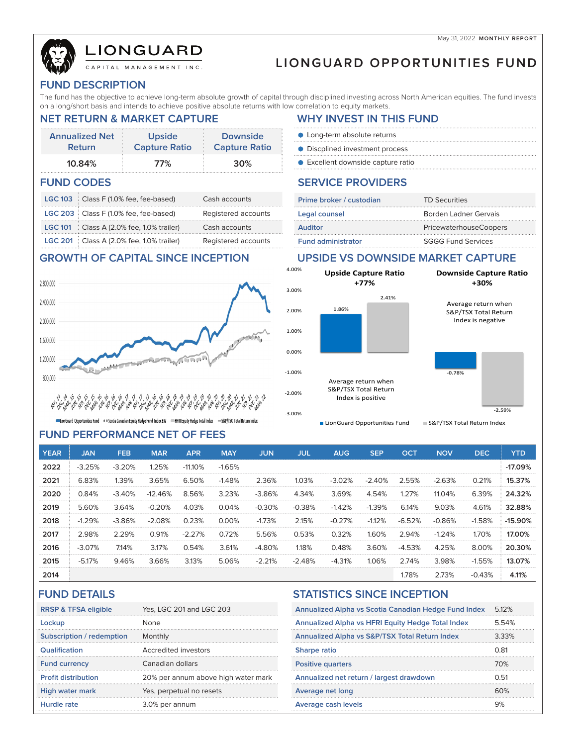# LIONGUARD

# **LIONGUARD OPPORTUNITIES FUND**

#### **FUND DESCRIPTION**

The fund has the objective to achieve long-term absolute growth of capital through disciplined investing across North American equities. The fund invests on a long/short basis and intends to achieve positive absolute returns with low correlation to equity markets.

#### **Annualized Net Return Upside Capture Ratio Downside Capture Ratio 10.84% 77% 30% FUND CODES** SERVICE PROVIDERS

|  | LGC 103 Class F (1.0% fee, fee-based)           | Cash accounts       |
|--|-------------------------------------------------|---------------------|
|  | LGC 203   Class F (1.0% fee, fee-based)         | Registered accounts |
|  | <b>LGC 101</b> Class A (2.0% fee, 1.0% trailer) | Cash accounts       |
|  | LGC 201 Class A (2.0% fee, 1.0% trailer)        | Registered accounts |

### **NET RETURN & MARKET CAPTURE WHY INVEST IN THIS FUND**

- Long-term absolute returns **O** Discplined investment process
- Excellent downside capture ratio

| Prime broker / custodian  | <b>TD Securities</b>          |
|---------------------------|-------------------------------|
| Legal counsel             | Borden Ladner Gervais         |
| <b>Auditor</b>            | <b>PricewaterhouseCoopers</b> |
| <b>Fund administrator</b> | <b>SGGG Fund Services</b>     |

### **GROWTH OF CAPITAL SINCE INCEPTION UPSIDE VS DOWNSIDE MARKET CAPTURE**



$$
45.25\%25.25\%25.25\%25.25\%25.25\%25.25\%25.25\%25.25\%25.25\%25.25\%25.25\%25.25\%25.25\%25.25\%25.25\%25.25\%25.25\%25.25\%25.25\%25.25\%25.25\%25.25\%25.25\%25.25\%25.25\%25.25\%25.25\%25.25\%25.25\%25.25\%25.25\%25.25\%25.25\%25.25\%25.25\%25.25\%25.25\%25.25\%25.25\%25.25\%25.25\%25.25\%25.25\%25.25\%25.25\%25.25\%25.25\%25.25\%25.25\%25.25\%25.25\%25.25\%25.25\%25.25\%25.25\%25.25\%25.25\%25.25\%25.25\%25.25\%25.25\%25.25\%25.25\%25.25\%25.25\%25.25\%25.25\%25.25\%25.25\%25.25\%25.25\%25.25\%25.25\%25.25\%25.25\%25.25\%25.25\%25.25\%25.25\%25.25\%25.25\%25.25\%25.25\%25.25\%25.25\%25.25\%25.25\%25.25\%25.25\%25.25\%25.25\%25.25\%25.25\%25.25\%25.25\%25.25\%25.25\%25.25\%25.25\%25.25\%25.25\%25.25\%25.25\%25.25\%25.25\%25.25\%25.25\%25.25\%25.
$$

conGuard Opportunities Fund . . . Scotia Canadian Equity Hedge Fund Index EW -HFRI Equity Hedge Total Index -S&P/TSX Total Return Index

### **FUND PERFORMANCE NET OF FEES**

| 4.00%                | <b>Upside Capture Ratio</b><br>$+77%$                            | <b>Downside Capture Ratio</b><br>+30%                            |  |  |  |  |
|----------------------|------------------------------------------------------------------|------------------------------------------------------------------|--|--|--|--|
| 3.00%                |                                                                  |                                                                  |  |  |  |  |
| 2.00%                | 2.41%<br>1.86%                                                   | Average return when<br>S&P/TSX Total Return<br>Index is negative |  |  |  |  |
| 1.00%                |                                                                  |                                                                  |  |  |  |  |
| 0.00%                |                                                                  |                                                                  |  |  |  |  |
| $-1.00%$             |                                                                  | $-0.78%$                                                         |  |  |  |  |
| $-2.00%$<br>$-3.00%$ | Average return when<br>S&P/TSX Total Return<br>Index is positive | $-2.59%$                                                         |  |  |  |  |
|                      |                                                                  |                                                                  |  |  |  |  |
|                      | LionGuard Opportunities Fund                                     | S&P/TSX Total Return Index                                       |  |  |  |  |

| <b>YEAR</b> | <b>JAN</b> | <b>FEB</b> | <b>MAR</b> | <b>APR</b> | <b>MAY</b> | <b>JUN</b> | <b>JUL</b> | <b>AUG</b> | <b>SEP</b> | <b>OCT</b> | <b>NOV</b> | <b>DEC</b> | <b>YTD</b> |
|-------------|------------|------------|------------|------------|------------|------------|------------|------------|------------|------------|------------|------------|------------|
| 2022        | $-3.25%$   | $-3.20%$   | 1.25%      | $-11.10%$  | $-1.65%$   |            |            |            |            |            |            |            | $-17.09%$  |
| 2021        | 6.83%      | 1.39%      | 3.65%      | 6.50%      | $-1.48%$   | 2.36%      | 1.03%      | $-3.02%$   | $-2.40%$   | 2.55%      | $-2.63%$   | 0.21%      | 15.37%     |
| 2020        | 0.84%      | $-3.40%$   | $-12.46%$  | 8.56%      | 3.23%      | $-3.86%$   | 4.34%      | 3.69%      | 4.54%      | 1.27%      | 11.04%     | 6.39%      | 24.32%     |
| 2019        | 5.60%      | 3.64%      | $-0.20%$   | 4.03%      | 0.04%      | $-0.30%$   | $-0.38%$   | $-1.42%$   | $-1.39%$   | 6.14%      | 9.03%      | 4.61%      | 32.88%     |
| 2018        | $-1.29%$   | $-3.86%$   | $-2.08%$   | 0.23%      | 0.00%      | $-1.73%$   | 2.15%      | $-0.27%$   | $-1.12%$   | $-6.52%$   | $-0.86%$   | $-1.58%$   | $-15.90%$  |
| 2017        | 2.98%      | 2.29%      | 0.91%      | $-2.27%$   | 0.72%      | 5.56%      | 0.53%      | 0.32%      | 1.60%      | 2.94%      | $-1.24%$   | 1.70%      | 17.00%     |
| 2016        | $-3.07%$   | 7.14%      | 3.17%      | 0.54%      | 3.61%      | $-4.80%$   | 1.18%      | 0.48%      | 3.60%      | $-4.53%$   | 4.25%      | 8.00%      | 20.30%     |
| 2015        | $-5.17%$   | 9.46%      | 3.66%      | 3.13%      | 5.06%      | $-2.21%$   | $-2.48%$   | $-4.31%$   | 1.06%      | 2.74%      | 3.98%      | $-1.55%$   | 13.07%     |
| 2014        |            |            |            |            |            |            |            |            |            | 1.78%      | 2.73%      | $-0.43%$   | 4.11%      |

| <b>RRSP &amp; TFSA eligible</b> | Yes, LGC 201 and LGC 203            |
|---------------------------------|-------------------------------------|
| Lockup                          | None                                |
| Subscription / redemption       | Monthly                             |
| Qualification                   | Accredited investors                |
| <b>Fund currency</b>            | Canadian dollars                    |
| <b>Profit distribution</b>      | 20% per annum above high water mark |
| <b>High water mark</b>          | Yes, perpetual no resets            |
| Hurdle rate                     | 3.0% per annum                      |

### **FUND DETAILS STATISTICS SINCE INCEPTION**

| Annualized Alpha vs Scotia Canadian Hedge Fund Index | 5.12% |
|------------------------------------------------------|-------|
| Annualized Alpha vs HFRI Equity Hedge Total Index    | 5.54% |
| Annualized Alpha vs S&P/TSX Total Return Index       | 3.33% |
| <b>Sharpe ratio</b>                                  | 0.81  |
| <b>Positive quarters</b>                             | 70%   |
| Annualized net return / largest drawdown             | 0.51  |
| Average net long                                     | 60%   |
| Average cash levels                                  | 9%    |